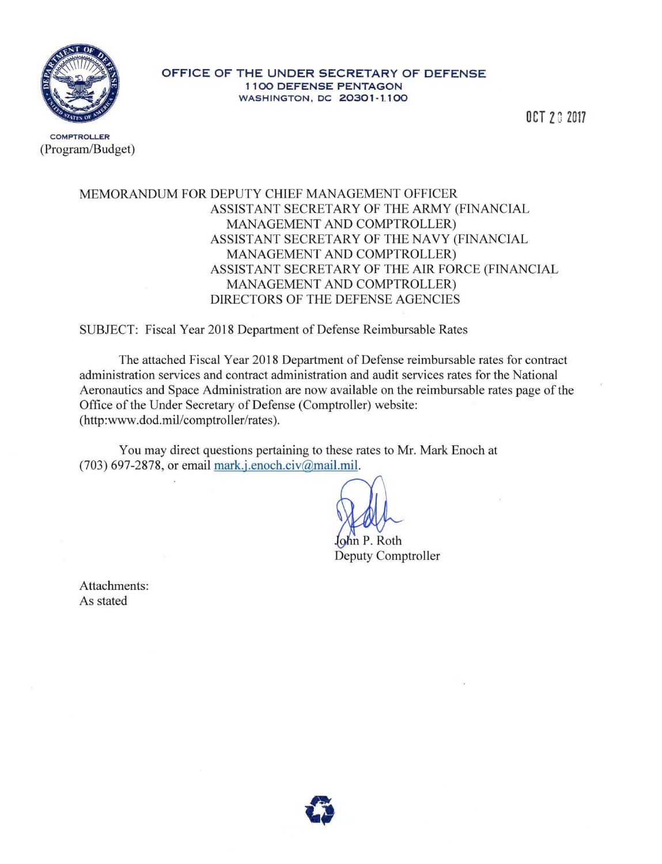

## OFFICE OF THE UNDER SECRETARY OF DEFENSE **1100 DEFENSE PENTAGON** WASHINGTON, DC 20301-1.100

OCT 2017

**COMPTROLLER** (Program/Budget)

## MEMORANDUM FOR DEPUTY CHIEF MANAGEMENT OFFICER ASSISTANT SECRETARY OF THE ARMY (FINANCIAL MANAGEMENT AND COMPTROLLER) ASSISTANT SECRETARY OF THE NAVY (FINANCIAL MANAGEMENT AND COMPTROLLER) ASSISTANT SECRETARY OF THE AIR FORCE (FINANCIAL MANAGEMENT AND COMPTROLLER) DIRECTORS OF THE DEFENSE AGENCIES

SUBJECT: Fiscal Year 2018 Department of Defense Reimbursable Rates

The attached Fiscal Year 2018 Department of Defense reimbursable rates for contract administration services and contract administration and audit services rates for the National Aeronautics and Space Administration are now available on the reimbursable rates page of the Office of the Under Secretary of Defense (Comptroller) website: (http:www.dod.mil/comptroller/rates).

You may direct questions pertaining to these rates to Mr. Mark Enoch at  $(703)$  697-2878, or email mark.j.enoch.civ $@$ mail.mil.

. Roth **Deputy Comptroller** 

Attachments: As stated